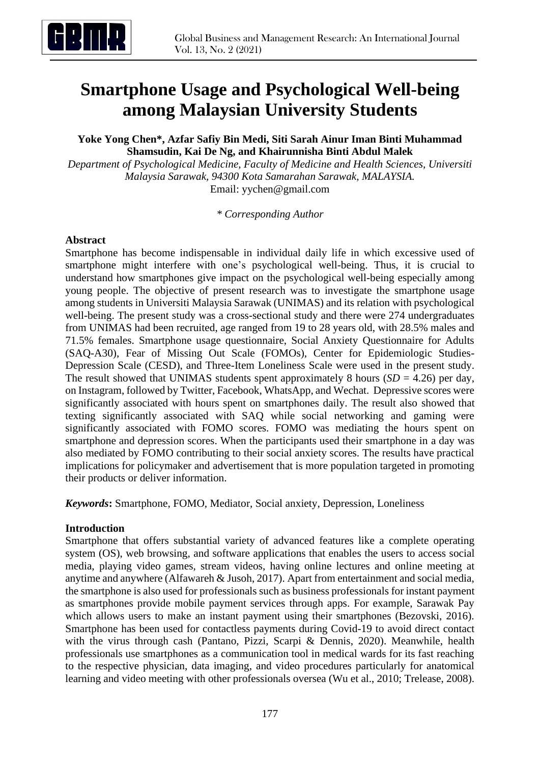

# **Smartphone Usage and Psychological Well-being among Malaysian University Students**

**Yoke Yong Chen\*, Azfar Safiy Bin Medi, Siti Sarah Ainur Iman Binti Muhammad Shamsudin, Kai De Ng, and Khairunnisha Binti Abdul Malek**

*Department of Psychological Medicine, Faculty of Medicine and Health Sciences, Universiti Malaysia Sarawak, 94300 Kota Samarahan Sarawak, MALAYSIA.* Email: [yychen@gmail.com](mailto:yychen@gmail.com)

*\* Corresponding Author*

#### **Abstract**

Smartphone has become indispensable in individual daily life in which excessive used of smartphone might interfere with one's psychological well-being. Thus, it is crucial to understand how smartphones give impact on the psychological well-being especially among young people. The objective of present research was to investigate the smartphone usage among students in Universiti Malaysia Sarawak (UNIMAS) and its relation with psychological well-being. The present study was a cross-sectional study and there were 274 undergraduates from UNIMAS had been recruited, age ranged from 19 to 28 years old, with 28.5% males and 71.5% females. Smartphone usage questionnaire, Social Anxiety Questionnaire for Adults (SAQ-A30), Fear of Missing Out Scale (FOMOs), Center for Epidemiologic Studies-Depression Scale (CESD), and Three-Item Loneliness Scale were used in the present study. The result showed that UNIMAS students spent approximately 8 hours  $(SD = 4.26)$  per day, on Instagram, followed by Twitter, Facebook, WhatsApp, and Wechat. Depressive scores were significantly associated with hours spent on smartphones daily. The result also showed that texting significantly associated with SAQ while social networking and gaming were significantly associated with FOMO scores. FOMO was mediating the hours spent on smartphone and depression scores. When the participants used their smartphone in a day was also mediated by FOMO contributing to their social anxiety scores. The results have practical implications for policymaker and advertisement that is more population targeted in promoting their products or deliver information.

*Keywords***:** Smartphone, FOMO, Mediator, Social anxiety, Depression, Loneliness

#### **Introduction**

Smartphone that offers substantial variety of advanced features like a complete operating system (OS), web browsing, and software applications that enables the users to access social media, playing video games, stream videos, having online lectures and online meeting at anytime and anywhere (Alfawareh & Jusoh, 2017). Apart from entertainment and social media, the smartphone is also used for professionals such as business professionals for instant payment as smartphones provide mobile payment services through apps. For example, Sarawak Pay which allows users to make an instant payment using their smartphones (Bezovski, 2016). Smartphone has been used for contactless payments during Covid-19 to avoid direct contact with the virus through cash (Pantano, Pizzi, Scarpi & Dennis, 2020). Meanwhile, health professionals use smartphones as a communication tool in medical wards for its fast reaching to the respective physician, data imaging, and video procedures particularly for anatomical learning and video meeting with other professionals oversea (Wu et al., 2010; Trelease, 2008).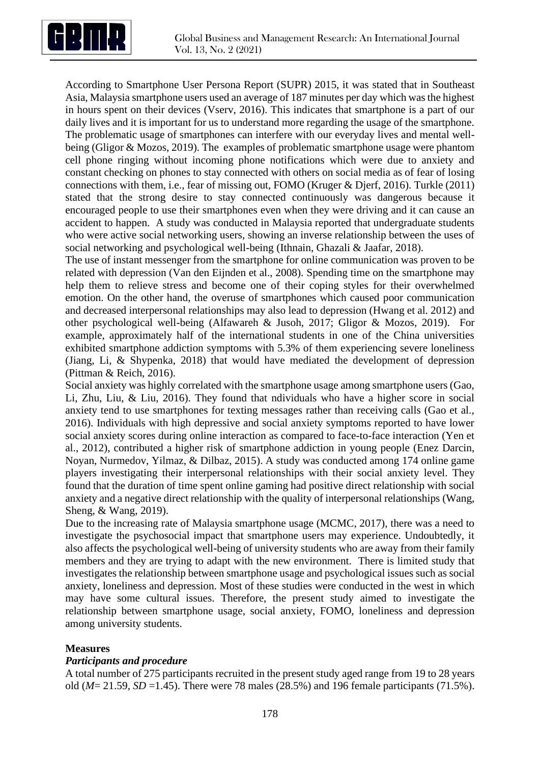

According to Smartphone User Persona Report (SUPR) 2015, it was stated that in Southeast Asia, Malaysia smartphone users used an average of 187 minutes per day which was the highest in hours spent on their devices (Vserv, 2016). This indicates that smartphone is a part of our daily lives and it is important for us to understand more regarding the usage of the smartphone. The problematic usage of smartphones can interfere with our everyday lives and mental wellbeing (Gligor & Mozos, 2019). The examples of problematic smartphone usage were phantom cell phone ringing without incoming phone notifications which were due to anxiety and constant checking on phones to stay connected with others on social media as of fear of losing connections with them, i.e., fear of missing out, FOMO (Kruger & Djerf, 2016). Turkle (2011) stated that the strong desire to stay connected continuously was dangerous because it encouraged people to use their smartphones even when they were driving and it can cause an accident to happen. A study was conducted in Malaysia reported that undergraduate students who were active social networking users, showing an inverse relationship between the uses of social networking and psychological well-being (Ithnain, Ghazali & Jaafar, 2018).

The use of instant messenger from the smartphone for online communication was proven to be related with depression (Van den Eijnden et al., 2008). Spending time on the smartphone may help them to relieve stress and become one of their coping styles for their overwhelmed emotion. On the other hand, the overuse of smartphones which caused poor communication and decreased interpersonal relationships may also lead to depression (Hwang et al. 2012) and other psychological well-being (Alfawareh & Jusoh, 2017; Gligor & Mozos, 2019). For example, approximately half of the international students in one of the China universities exhibited smartphone addiction symptoms with 5.3% of them experiencing severe loneliness (Jiang, Li, & Shypenka, 2018) that would have mediated the development of depression (Pittman & Reich, 2016).

Social anxiety was highly correlated with the smartphone usage among smartphone users (Gao, Li, Zhu, Liu, & Liu, 2016). They found that ndividuals who have a higher score in social anxiety tend to use smartphones for texting messages rather than receiving calls (Gao et al., 2016). Individuals with high depressive and social anxiety symptoms reported to have lower social anxiety scores during online interaction as compared to face-to-face interaction (Yen et al., 2012), contributed a higher risk of smartphone addiction in young people (Enez Darcin, Noyan, Nurmedov, Yilmaz, & Dilbaz, 2015). A study was conducted among 174 online game players investigating their interpersonal relationships with their social anxiety level. They found that the duration of time spent online gaming had positive direct relationship with social anxiety and a negative direct relationship with the quality of interpersonal relationships (Wang, Sheng, & Wang, 2019).

Due to the increasing rate of Malaysia smartphone usage (MCMC, 2017), there was a need to investigate the psychosocial impact that smartphone users may experience. Undoubtedly, it also affects the psychological well-being of university students who are away from their family members and they are trying to adapt with the new environment. There is limited study that investigates the relationship between smartphone usage and psychological issues such as social anxiety, loneliness and depression. Most of these studies were conducted in the west in which may have some cultural issues. Therefore, the present study aimed to investigate the relationship between smartphone usage, social anxiety, FOMO, loneliness and depression among university students.

# **Measures**

#### *Participants and procedure*

A total number of 275 participants recruited in the present study aged range from 19 to 28 years old (*M*= 21.59, *SD* =1.45). There were 78 males (28.5%) and 196 female participants (71.5%).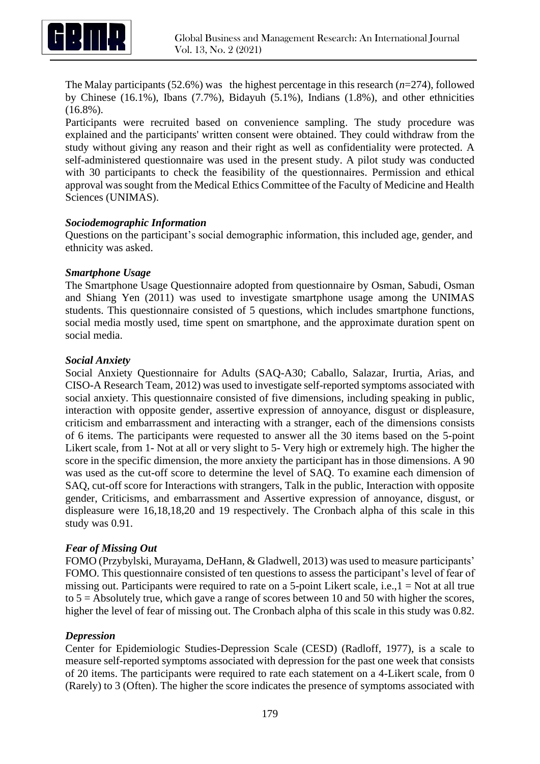

The Malay participants (52.6%) was the highest percentage in this research (*n*=274), followed by Chinese (16.1%), Ibans (7.7%), Bidayuh (5.1%), Indians (1.8%), and other ethnicities (16.8%).

Participants were recruited based on convenience sampling. The study procedure was explained and the participants' written consent were obtained. They could withdraw from the study without giving any reason and their right as well as confidentiality were protected. A self-administered questionnaire was used in the present study. A pilot study was conducted with 30 participants to check the feasibility of the questionnaires. Permission and ethical approval was sought from the Medical Ethics Committee of the Faculty of Medicine and Health Sciences (UNIMAS).

#### *Sociodemographic Information*

Questions on the participant's social demographic information, this included age, gender, and ethnicity was asked.

# *Smartphone Usage*

The Smartphone Usage Questionnaire adopted from questionnaire by Osman, Sabudi, Osman and Shiang Yen (2011) was used to investigate smartphone usage among the UNIMAS students. This questionnaire consisted of 5 questions, which includes smartphone functions, social media mostly used, time spent on smartphone, and the approximate duration spent on social media.

# *Social Anxiety*

Social Anxiety Questionnaire for Adults (SAQ-A30; Caballo, Salazar, Irurtia, Arias, and CISO-A Research Team, 2012) was used to investigate self-reported symptoms associated with social anxiety. This questionnaire consisted of five dimensions, including speaking in public, interaction with opposite gender, assertive expression of annoyance, disgust or displeasure, criticism and embarrassment and interacting with a stranger, each of the dimensions consists of 6 items. The participants were requested to answer all the 30 items based on the 5-point Likert scale, from 1- Not at all or very slight to 5- Very high or extremely high. The higher the score in the specific dimension, the more anxiety the participant has in those dimensions. A 90 was used as the cut-off score to determine the level of SAQ. To examine each dimension of SAQ, cut-off score for Interactions with strangers, Talk in the public, Interaction with opposite gender, Criticisms, and embarrassment and Assertive expression of annoyance, disgust, or displeasure were 16,18,18,20 and 19 respectively. The Cronbach alpha of this scale in this study was 0.91.

# *Fear of Missing Out*

FOMO (Przybylski, Murayama, DeHann, & Gladwell, 2013) was used to measure participants' FOMO. This questionnaire consisted of ten questions to assess the participant's level of fear of missing out. Participants were required to rate on a 5-point Likert scale, i.e.,  $1 = Not$  at all true to  $5 =$  Absolutely true, which gave a range of scores between 10 and 50 with higher the scores, higher the level of fear of missing out. The Cronbach alpha of this scale in this study was 0.82.

#### *Depression*

Center for Epidemiologic Studies-Depression Scale (CESD) (Radloff, 1977), is a scale to measure self-reported symptoms associated with depression for the past one week that consists of 20 items. The participants were required to rate each statement on a 4-Likert scale, from 0 (Rarely) to 3 (Often). The higher the score indicates the presence of symptoms associated with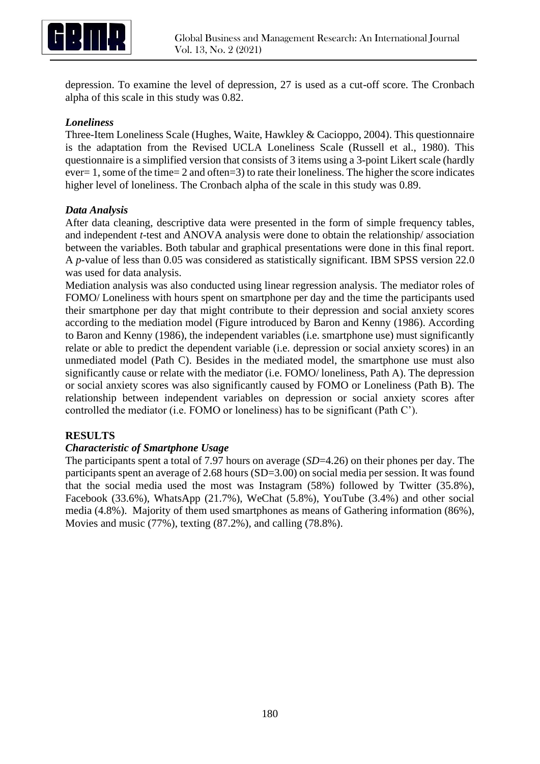

depression. To examine the level of depression, 27 is used as a cut-off score. The Cronbach alpha of this scale in this study was 0.82.

# *Loneliness*

Three-Item Loneliness Scale (Hughes, Waite, Hawkley & Cacioppo, 2004). This questionnaire is the adaptation from the Revised UCLA Loneliness Scale (Russell et al., 1980). This questionnaire is a simplified version that consists of 3 items using a 3-point Likert scale (hardly ever= 1, some of the time= 2 and often=3) to rate their loneliness. The higher the score indicates higher level of loneliness. The Cronbach alpha of the scale in this study was 0.89.

# *Data Analysis*

After data cleaning, descriptive data were presented in the form of simple frequency tables, and independent *t*-test and ANOVA analysis were done to obtain the relationship/ association between the variables. Both tabular and graphical presentations were done in this final report. A *p*-value of less than 0.05 was considered as statistically significant. IBM SPSS version 22.0 was used for data analysis.

Mediation analysis was also conducted using linear regression analysis. The mediator roles of FOMO/ Loneliness with hours spent on smartphone per day and the time the participants used their smartphone per day that might contribute to their depression and social anxiety scores according to the mediation model (Figure introduced by Baron and Kenny (1986). According to Baron and Kenny (1986), the independent variables (i.e. smartphone use) must significantly relate or able to predict the dependent variable (i.e. depression or social anxiety scores) in an unmediated model (Path C). Besides in the mediated model, the smartphone use must also significantly cause or relate with the mediator (i.e. FOMO/ loneliness, Path A). The depression or social anxiety scores was also significantly caused by FOMO or Loneliness (Path B). The relationship between independent variables on depression or social anxiety scores after controlled the mediator (i.e. FOMO or loneliness) has to be significant (Path C').

#### **RESULTS**

#### *Characteristic of Smartphone Usage*

The participants spent a total of 7.97 hours on average (*SD*=4.26) on their phones per day. The participants spent an average of 2.68 hours (SD=3.00) on social media per session. It was found that the social media used the most was Instagram (58%) followed by Twitter (35.8%), Facebook (33.6%), WhatsApp (21.7%), WeChat (5.8%), YouTube (3.4%) and other social media (4.8%). Majority of them used smartphones as means of Gathering information (86%), Movies and music (77%), texting (87.2%), and calling (78.8%).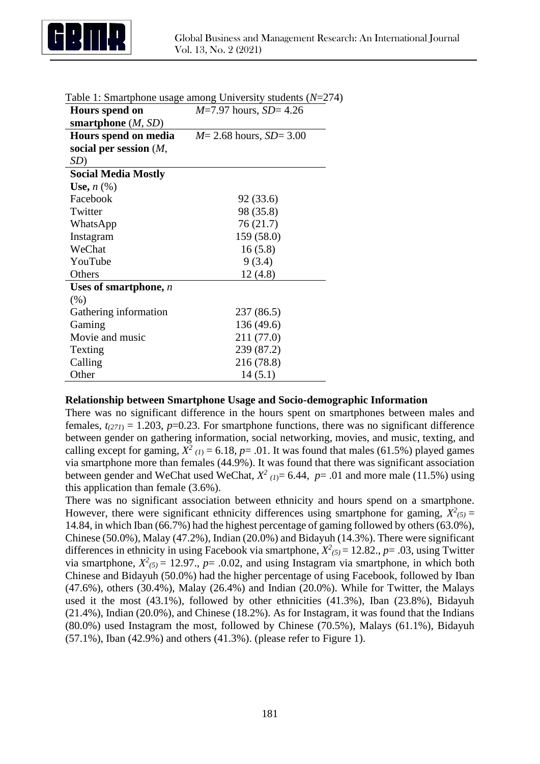

| Hours spend on             | raoic 1. Sinariphone asage among $\sigma$ m versity stadents $(1)$<br>$M=7.97$ hours, $SD=4.26$ |
|----------------------------|-------------------------------------------------------------------------------------------------|
| smartphone $(M, SD)$       |                                                                                                 |
| Hours spend on media       | $M = 2.68$ hours, $SD = 3.00$                                                                   |
| social per session $(M,$   |                                                                                                 |
| SD)                        |                                                                                                 |
| <b>Social Media Mostly</b> |                                                                                                 |
| Use, $n$ $(\%)$            |                                                                                                 |
| Facebook                   | 92 (33.6)                                                                                       |
| Twitter                    | 98 (35.8)                                                                                       |
| WhatsApp                   | 76(21.7)                                                                                        |
| Instagram                  | 159 (58.0)                                                                                      |
| WeChat                     | 16(5.8)                                                                                         |
| YouTube                    | 9(3.4)                                                                                          |
| Others                     | 12(4.8)                                                                                         |
| Uses of smartphone, $n$    |                                                                                                 |
| (% )                       |                                                                                                 |
| Gathering information      | 237 (86.5)                                                                                      |
| Gaming                     | 136 (49.6)                                                                                      |
| Movie and music            | 211 (77.0)                                                                                      |
| Texting                    | 239 (87.2)                                                                                      |
| Calling                    | 216 (78.8)                                                                                      |
| Other                      | 14(5.1)                                                                                         |

| Table 1: Smartphone usage among University students $(N=274)$ |  |
|---------------------------------------------------------------|--|
|---------------------------------------------------------------|--|

#### **Relationship between Smartphone Usage and Socio-demographic Information**

There was no significant difference in the hours spent on smartphones between males and females,  $t_{(271)} = 1.203$ ,  $p=0.23$ . For smartphone functions, there was no significant difference between gender on gathering information, social networking, movies, and music, texting, and calling except for gaming,  $X^2$  (1) = 6.18, p= .01. It was found that males (61.5%) played games via smartphone more than females (44.9%). It was found that there was significant association between gender and WeChat used WeChat,  $X^2$  (1)= 6.44, p= .01 and more male (11.5%) using this application than female (3.6%).

There was no significant association between ethnicity and hours spend on a smartphone. However, there were significant ethnicity differences using smartphone for gaming,  $X^2$ <sub>(5)</sub> = 14.84, in which Iban (66.7%) had the highest percentage of gaming followed by others (63.0%), Chinese (50.0%), Malay (47.2%), Indian (20.0%) and Bidayuh (14.3%). There were significant differences in ethnicity in using Facebook via smartphone,  $X^2_{(5)} = 12.82$ .,  $p = .03$ , using Twitter via smartphone,  $X^2(s) = 12.97$ .,  $p = .0.02$ , and using Instagram via smartphone, in which both Chinese and Bidayuh (50.0%) had the higher percentage of using Facebook, followed by Iban (47.6%), others (30.4%), Malay (26.4%) and Indian (20.0%). While for Twitter, the Malays used it the most (43.1%), followed by other ethnicities (41.3%), Iban (23.8%), Bidayuh (21.4%), Indian (20.0%), and Chinese (18.2%). As for Instagram, it was found that the Indians (80.0%) used Instagram the most, followed by Chinese (70.5%), Malays (61.1%), Bidayuh (57.1%), Iban (42.9%) and others (41.3%). (please refer to Figure 1).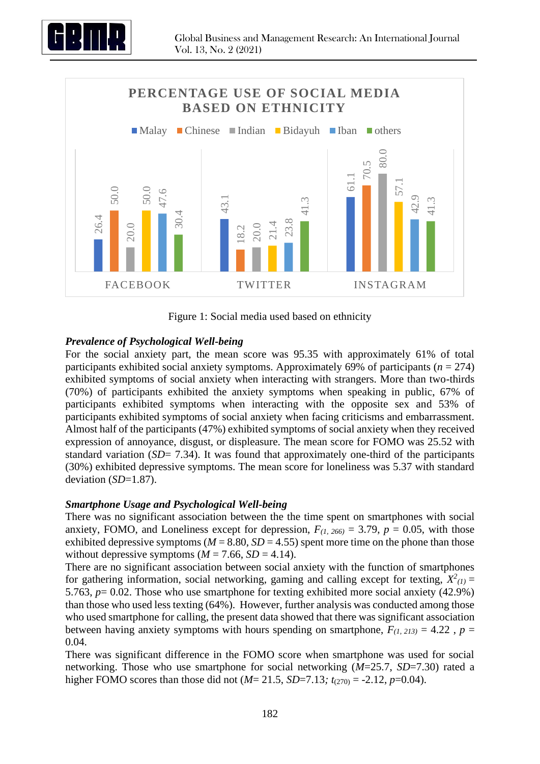



Figure 1: Social media used based on ethnicity

# *Prevalence of Psychological Well-being*

For the social anxiety part, the mean score was 95.35 with approximately 61% of total participants exhibited social anxiety symptoms. Approximately 69% of participants ( $n = 274$ ) exhibited symptoms of social anxiety when interacting with strangers. More than two-thirds (70%) of participants exhibited the anxiety symptoms when speaking in public, 67% of participants exhibited symptoms when interacting with the opposite sex and 53% of participants exhibited symptoms of social anxiety when facing criticisms and embarrassment. Almost half of the participants (47%) exhibited symptoms of social anxiety when they received expression of annoyance, disgust, or displeasure. The mean score for FOMO was 25.52 with standard variation (*SD*= 7.34). It was found that approximately one-third of the participants (30%) exhibited depressive symptoms. The mean score for loneliness was 5.37 with standard deviation (*SD*=1.87).

# *Smartphone Usage and Psychological Well-being*

There was no significant association between the the time spent on smartphones with social anxiety, FOMO, and Loneliness except for depression,  $F_{(1, 266)} = 3.79$ ,  $p = 0.05$ , with those exhibited depressive symptoms ( $M = 8.80$ ,  $SD = 4.55$ ) spent more time on the phone than those without depressive symptoms  $(M = 7.66, SD = 4.14)$ .

There are no significant association between social anxiety with the function of smartphones for gathering information, social networking, gaming and calling except for texting,  $X^2_{(1)} =$ 5.763, *p*= 0.02. Those who use smartphone for texting exhibited more social anxiety (42.9%) than those who used less texting (64%). However, further analysis was conducted among those who used smartphone for calling, the present data showed that there was significant association between having anxiety symptoms with hours spending on smartphone,  $F_{(1, 213)} = 4.22$ ,  $p =$ 0.04.

There was significant difference in the FOMO score when smartphone was used for social networking. Those who use smartphone for social networking (*M*=25.7, *SD*=7.30) rated a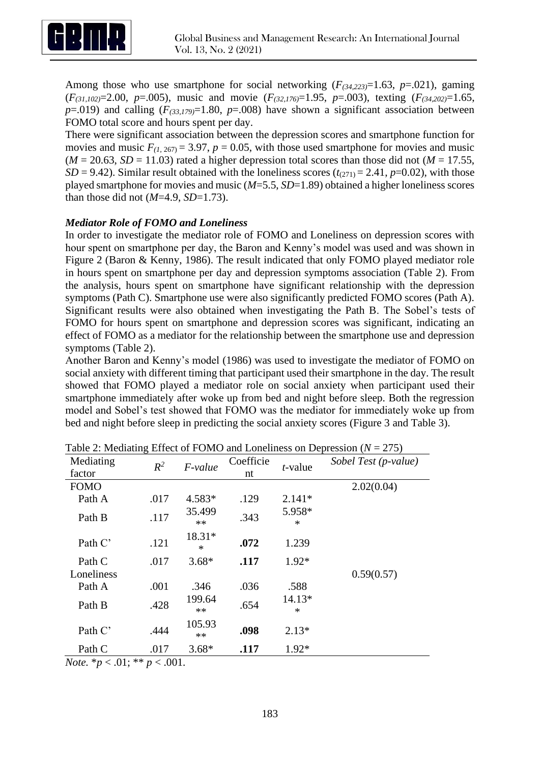

Among those who use smartphone for social networking  $(F_{(34,223)}=1.63, p=.021)$ , gaming (*F(31,102)*=2.00, *p*=.005), music and movie (*F(32,176)*=1.95, *p*=.003), texting (*F(34,202)*=1.65,  $p=0.019$ ) and calling  $(F_{(33,179)}=1.80, p=0.008)$  have shown a significant association between FOMO total score and hours spent per day.

There were significant association between the depression scores and smartphone function for movies and music  $F_{(1, 267)} = 3.97$ ,  $p = 0.05$ , with those used smartphone for movies and music  $(M = 20.63, SD = 11.03)$  rated a higher depression total scores than those did not  $(M = 17.55,$ *SD* = 9.42). Similar result obtained with the loneliness scores  $(t_{271})$  = 2.41, *p*=0.02), with those played smartphone for movies and music (*M*=5.5, *SD*=1.89) obtained a higher loneliness scores than those did not (*M*=4.9, *SD*=1.73).

# *Mediator Role of FOMO and Loneliness*

In order to investigate the mediator role of FOMO and Loneliness on depression scores with hour spent on smartphone per day, the Baron and Kenny's model was used and was shown in Figure 2 (Baron & Kenny, 1986). The result indicated that only FOMO played mediator role in hours spent on smartphone per day and depression symptoms association (Table 2). From the analysis, hours spent on smartphone have significant relationship with the depression symptoms (Path C). Smartphone use were also significantly predicted FOMO scores (Path A). Significant results were also obtained when investigating the Path B. The Sobel's tests of FOMO for hours spent on smartphone and depression scores was significant, indicating an effect of FOMO as a mediator for the relationship between the smartphone use and depression symptoms (Table 2).

Another Baron and Kenny's model (1986) was used to investigate the mediator of FOMO on social anxiety with different timing that participant used their smartphone in the day. The result showed that FOMO played a mediator role on social anxiety when participant used their smartphone immediately after woke up from bed and night before sleep. Both the regression model and Sobel's test showed that FOMO was the mediator for immediately woke up from bed and night before sleep in predicting the social anxiety scores (Figure 3 and Table 3).

| Mediating<br>factor | $R^2$ | $F$ -value       | Coefficie<br>nt | $t$ -value         | Sobel Test (p-value) |
|---------------------|-------|------------------|-----------------|--------------------|----------------------|
| <b>FOMO</b>         |       |                  |                 |                    | 2.02(0.04)           |
| Path A              | .017  | 4.583*           | .129            | $2.141*$           |                      |
| Path B              | .117  | 35.499<br>$**$   | .343            | 5.958*<br>$\ast$   |                      |
| Path C'             | .121  | 18.31*<br>$\ast$ | .072            | 1.239              |                      |
| Path C              | .017  | $3.68*$          | .117            | $1.92*$            |                      |
| Loneliness          |       |                  |                 |                    | 0.59(0.57)           |
| Path A              | .001  | .346             | .036            | .588               |                      |
| Path B              | .428  | 199.64<br>$**$   | .654            | $14.13*$<br>$\ast$ |                      |
| Path C'             | .444  | 105.93<br>$**$   | .098            | $2.13*$            |                      |
| Path C              | .017  | $3.68*$          | .117            | $1.92*$            |                      |

Table 2: Mediating Effect of FOMO and Loneliness on Depression (*N* = 275)

*Note.* \**p* < .01; \*\* *p* < .001.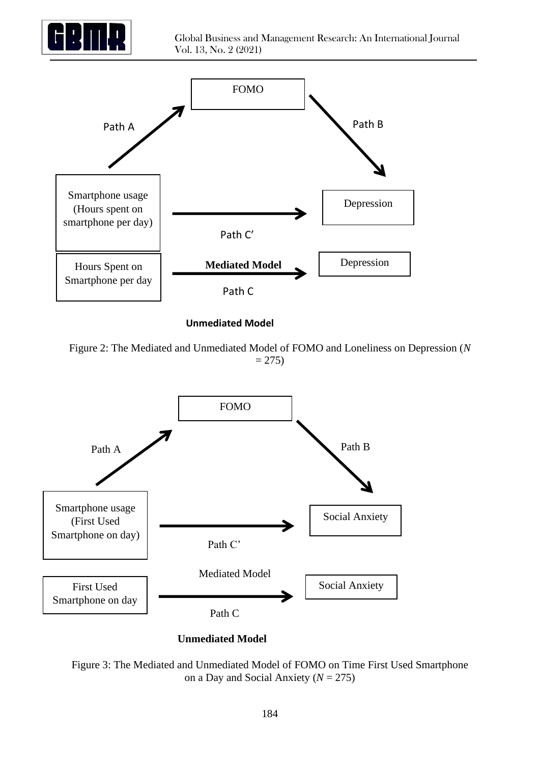



**Unmediated Model**

Figure 2: The Mediated and Unmediated Model of FOMO and Loneliness on Depression (*N*  $= 275$ 



**Unmediated Model**

Figure 3: The Mediated and Unmediated Model of FOMO on Time First Used Smartphone on a Day and Social Anxiety (*N* = 275)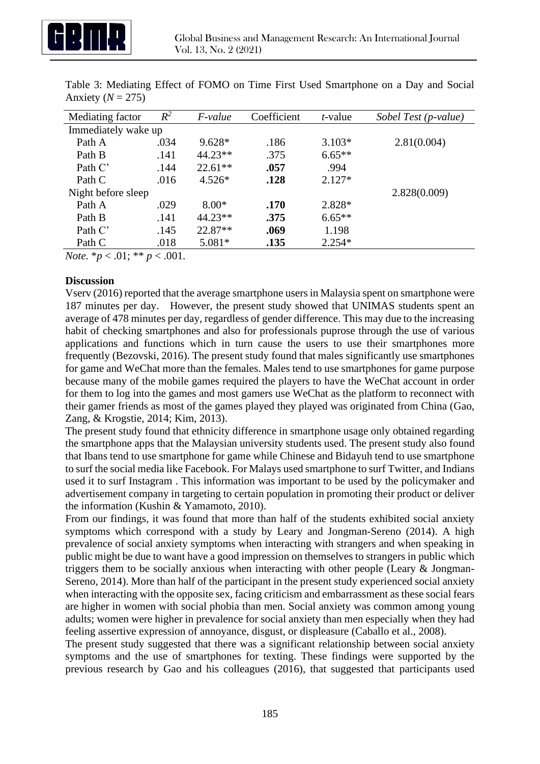

| Mediating factor    | $R^2$ | <i>F-value</i> | Coefficient | <i>t</i> -value | Sobel Test (p-value) |  |  |
|---------------------|-------|----------------|-------------|-----------------|----------------------|--|--|
| Immediately wake up |       |                |             |                 |                      |  |  |
| Path A              | .034  | $9.628*$       | .186        | $3.103*$        | 2.81(0.004)          |  |  |
| Path B              | .141  | $44.23**$      | .375        | $6.65**$        |                      |  |  |
| Path C'             | .144  | $22.61**$      | .057        | .994            |                      |  |  |
| Path C              | .016  | $4.526*$       | .128        | $2.127*$        |                      |  |  |
| Night before sleep  |       |                |             |                 | 2.828(0.009)         |  |  |
| Path A              | .029  | $8.00*$        | .170        | 2.828*          |                      |  |  |
| Path B              | .141  | $44.23**$      | .375        | $6.65**$        |                      |  |  |
| Path C'             | .145  | 22.87**        | .069        | 1.198           |                      |  |  |
| Path C              | .018  | $5.081*$       | .135        | $2.254*$        |                      |  |  |

Table 3: Mediating Effect of FOMO on Time First Used Smartphone on a Day and Social Anxiety  $(N = 275)$ 

*Note.* \**p* < .01; \*\* *p* < .001.

# **Discussion**

Vserv (2016) reported that the average smartphone users in Malaysia spent on smartphone were 187 minutes per day. However, the present study showed that UNIMAS students spent an average of 478 minutes per day, regardless of gender difference. This may due to the increasing habit of checking smartphones and also for professionals puprose through the use of various applications and functions which in turn cause the users to use their smartphones more frequently (Bezovski, 2016). The present study found that males significantly use smartphones for game and WeChat more than the females. Males tend to use smartphones for game purpose because many of the mobile games required the players to have the WeChat account in order for them to log into the games and most gamers use WeChat as the platform to reconnect with their gamer friends as most of the games played they played was originated from China (Gao, Zang, & Krogstie, 2014; Kim, 2013).

The present study found that ethnicity difference in smartphone usage only obtained regarding the smartphone apps that the Malaysian university students used. The present study also found that Ibans tend to use smartphone for game while Chinese and Bidayuh tend to use smartphone to surf the social media like Facebook. For Malays used smartphone to surf Twitter, and Indians used it to surf Instagram . This information was important to be used by the policymaker and advertisement company in targeting to certain population in promoting their product or deliver the information (Kushin & Yamamoto, 2010).

From our findings, it was found that more than half of the students exhibited social anxiety symptoms which correspond with a study by Leary and Jongman-Sereno (2014). A high prevalence of social anxiety symptoms when interacting with strangers and when speaking in public might be due to want have a good impression on themselves to strangers in public which triggers them to be socially anxious when interacting with other people (Leary & Jongman-Sereno, 2014). More than half of the participant in the present study experienced social anxiety when interacting with the opposite sex, facing criticism and embarrassment as these social fears are higher in women with social phobia than men. Social anxiety was common among young adults; women were higher in prevalence for social anxiety than men especially when they had feeling assertive expression of annoyance, disgust, or displeasure (Caballo et al., 2008).

The present study suggested that there was a significant relationship between social anxiety symptoms and the use of smartphones for texting. These findings were supported by the previous research by Gao and his colleagues (2016), that suggested that participants used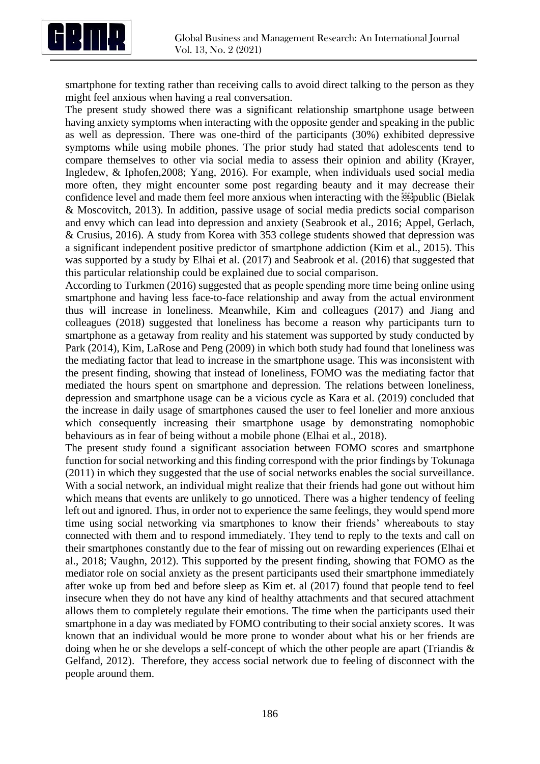

smartphone for texting rather than receiving calls to avoid direct talking to the person as they might feel anxious when having a real conversation.

The present study showed there was a significant relationship smartphone usage between having anxiety symptoms when interacting with the opposite gender and speaking in the public as well as depression. There was one-third of the participants (30%) exhibited depressive symptoms while using mobile phones. The prior study had stated that adolescents tend to compare themselves to other via social media to assess their opinion and ability (Krayer, Ingledew, & Iphofen,2008; Yang, 2016). For example, when individuals used social media more often, they might encounter some post regarding beauty and it may decrease their confidence level and made them feel more anxious when interacting with the **public** (Bielak & Moscovitch, 2013). In addition, passive usage of social media predicts social comparison and envy which can lead into depression and anxiety (Seabrook et al., 2016; Appel, Gerlach, & Crusius, 2016). A study from Korea with 353 college students showed that depression was a significant independent positive predictor of smartphone addiction (Kim et al., 2015). This was supported by a study by Elhai et al. (2017) and Seabrook et al. (2016) that suggested that this particular relationship could be explained due to social comparison.

According to Turkmen (2016) suggested that as people spending more time being online using smartphone and having less face-to-face relationship and away from the actual environment thus will increase in loneliness. Meanwhile, Kim and colleagues (2017) and Jiang and colleagues (2018) suggested that loneliness has become a reason why participants turn to smartphone as a getaway from reality and his statement was supported by study conducted by Park (2014), Kim, LaRose and Peng (2009) in which both study had found that loneliness was the mediating factor that lead to increase in the smartphone usage. This was inconsistent with the present finding, showing that instead of loneliness, FOMO was the mediating factor that mediated the hours spent on smartphone and depression. The relations between loneliness, depression and smartphone usage can be a vicious cycle as Kara et al. (2019) concluded that the increase in daily usage of smartphones caused the user to feel lonelier and more anxious which consequently increasing their smartphone usage by demonstrating nomophobic behaviours as in fear of being without a mobile phone (Elhai et al., 2018).

The present study found a significant association between FOMO scores and smartphone function for social networking and this finding correspond with the prior findings by Tokunaga (2011) in which they suggested that the use of social networks enables the social surveillance. With a social network, an individual might realize that their friends had gone out without him which means that events are unlikely to go unnoticed. There was a higher tendency of feeling left out and ignored. Thus, in order not to experience the same feelings, they would spend more time using social networking via smartphones to know their friends' whereabouts to stay connected with them and to respond immediately. They tend to reply to the texts and call on their smartphones constantly due to the fear of missing out on rewarding experiences (Elhai et al., 2018; Vaughn, 2012). This supported by the present finding, showing that FOMO as the mediator role on social anxiety as the present participants used their smartphone immediately after woke up from bed and before sleep as Kim et. al (2017) found that people tend to feel insecure when they do not have any kind of healthy attachments and that secured attachment allows them to completely regulate their emotions. The time when the participants used their smartphone in a day was mediated by FOMO contributing to their social anxiety scores. It was known that an individual would be more prone to wonder about what his or her friends are doing when he or she develops a self-concept of which the other people are apart (Triandis & Gelfand, 2012). Therefore, they access social network due to feeling of disconnect with the people around them.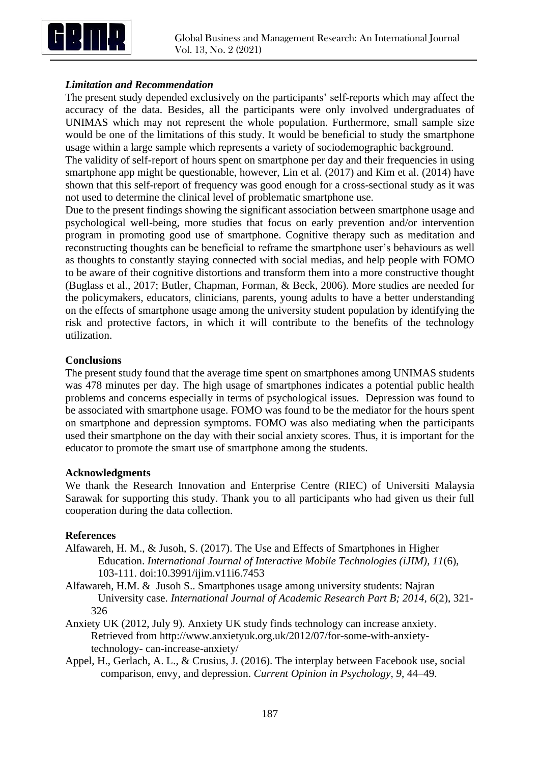

# *Limitation and Recommendation*

The present study depended exclusively on the participants' self-reports which may affect the accuracy of the data. Besides, all the participants were only involved undergraduates of UNIMAS which may not represent the whole population. Furthermore, small sample size would be one of the limitations of this study. It would be beneficial to study the smartphone usage within a large sample which represents a variety of sociodemographic background.

The validity of self-report of hours spent on smartphone per day and their frequencies in using smartphone app might be questionable, however, Lin et al. (2017) and Kim et al. (2014) have shown that this self-report of frequency was good enough for a cross-sectional study as it was not used to determine the clinical level of problematic smartphone use.

Due to the present findings showing the significant association between smartphone usage and psychological well-being, more studies that focus on early prevention and/or intervention program in promoting good use of smartphone. Cognitive therapy such as meditation and reconstructing thoughts can be beneficial to reframe the smartphone user's behaviours as well as thoughts to constantly staying connected with social medias, and help people with FOMO to be aware of their cognitive distortions and transform them into a more constructive thought (Buglass et al., 2017; Butler, Chapman, Forman, & Beck, 2006). More studies are needed for the policymakers, educators, clinicians, parents, young adults to have a better understanding on the effects of smartphone usage among the university student population by identifying the risk and protective factors, in which it will contribute to the benefits of the technology utilization.

# **Conclusions**

The present study found that the average time spent on smartphones among UNIMAS students was 478 minutes per day. The high usage of smartphones indicates a potential public health problems and concerns especially in terms of psychological issues. Depression was found to be associated with smartphone usage. FOMO was found to be the mediator for the hours spent on smartphone and depression symptoms. FOMO was also mediating when the participants used their smartphone on the day with their social anxiety scores. Thus, it is important for the educator to promote the smart use of smartphone among the students.

#### **Acknowledgments**

We thank the Research Innovation and Enterprise Centre (RIEC) of Universiti Malaysia Sarawak for supporting this study. Thank you to all participants who had given us their full cooperation during the data collection.

#### **References**

- Alfawareh, H. M., & Jusoh, S. (2017). The Use and Effects of Smartphones in Higher Education. *International Journal of Interactive Mobile Technologies (iJIM), 11*(6), 103-111. doi:10.3991/ijim.v11i6.7453
- Alfawareh, H.M. & Jusoh S.. Smartphones usage among university students: Najran University case. *International Journal of Academic Research Part B; 2014, 6*(2), 321- 326
- Anxiety UK (2012, July 9). Anxiety UK study finds technology can increase anxiety. Retrieved from http://www.anxietyuk.org.uk/2012/07/for-some-with-anxietytechnology- can-increase-anxiety/
- Appel, H., Gerlach, A. L., & Crusius, J. (2016). The interplay between Facebook use, social comparison, envy, and depression. *Current Opinion in Psychology*, *9*, 44–49.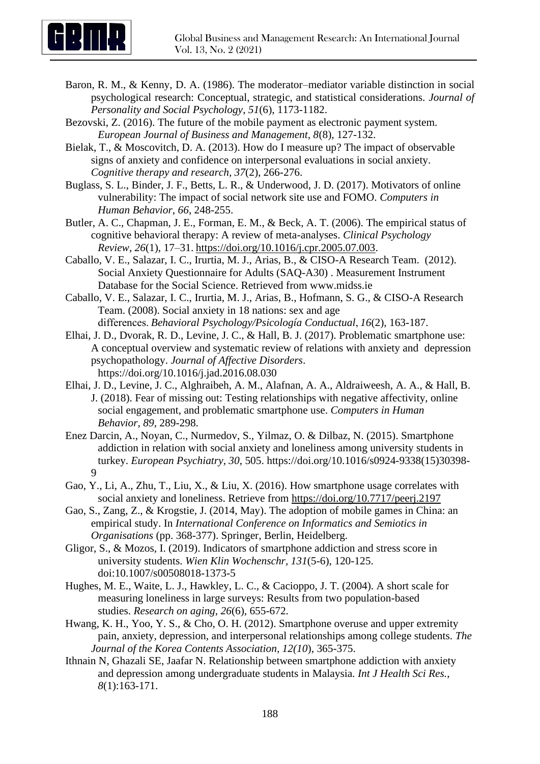

- Baron, R. M., & Kenny, D. A. (1986). The moderator–mediator variable distinction in social psychological research: Conceptual, strategic, and statistical considerations. *Journal of Personality and Social Psychology*, *51*(6), 1173-1182.
- Bezovski, Z. (2016). The future of the mobile payment as electronic payment system. *European Journal of Business and Management, 8*(8), 127-132.
- Bielak, T., & Moscovitch, D. A. (2013). How do I measure up? The impact of observable signs of anxiety and confidence on interpersonal evaluations in social anxiety. *Cognitive therapy and research, 37*(2), 266-276.
- Buglass, S. L., Binder, J. F., Betts, L. R., & Underwood, J. D. (2017). Motivators of online vulnerability: The impact of social network site use and FOMO. *Computers in Human Behavior*, *66*, 248-255.
- Butler, A. C., Chapman, J. E., Forman, E. M., & Beck, A. T. (2006). The empirical status of cognitive behavioral therapy: A review of meta-analyses. *Clinical Psychology Review*, *26*(1), 17–31. [https://doi.org/10.1016/j.cpr.2005.07.003.](https://doi.org/10.1016/j.cpr.2005.07.003)
- Caballo, V. E., Salazar, I. C., Irurtia, M. J., Arias, B., & CISO-A Research Team. (2012). Social Anxiety Questionnaire for Adults (SAQ-A30) . Measurement Instrument Database for the Social Science. Retrieved from www.midss.ie
- Caballo, V. E., Salazar, I. C., Irurtia, M. J., Arias, B., Hofmann, S. G., & CISO-A Research Team. (2008). Social anxiety in 18 nations: sex and age differences. *Behavioral Psychology/Psicología Conductual*, *16*(2), 163-187.
- Elhai, J. D., Dvorak, R. D., Levine, J. C., & Hall, B. J. (2017). Problematic smartphone use: A conceptual overview and systematic review of relations with anxiety and depression psychopathology. *Journal of Affective Disorders*. https://doi.org/10.1016/j.jad.2016.08.030
- Elhai, J. D., Levine, J. C., Alghraibeh, A. M., Alafnan, A. A., Aldraiweesh, A. A., & Hall, B. J. (2018). Fear of missing out: Testing relationships with negative affectivity, online social engagement, and problematic smartphone use. *Computers in Human Behavior*, *89*, 289-298.
- Enez Darcin, A., Noyan, C., Nurmedov, S., Yilmaz, O. & Dilbaz, N. (2015). Smartphone addiction in relation with social anxiety and loneliness among university students in turkey. *European Psychiatry*, *30*, 505. https://doi.org/10.1016/s0924-9338(15)30398- 9
- Gao, Y., Li, A., Zhu, T., Liu, X., & Liu, X. (2016). How smartphone usage correlates with social anxiety and loneliness. Retrieve from<https://doi.org/10.7717/peerj.2197>
- Gao, S., Zang, Z., & Krogstie, J. (2014, May). The adoption of mobile games in China: an empirical study. In *International Conference on Informatics and Semiotics in Organisations* (pp. 368-377). Springer, Berlin, Heidelberg.
- Gligor, S., & Mozos, I. (2019). Indicators of smartphone addiction and stress score in university students. *Wien Klin Wochenschr, 131*(5-6), 120-125. doi:10.1007/s00508018-1373-5
- Hughes, M. E., Waite, L. J., Hawkley, L. C., & Cacioppo, J. T. (2004). A short scale for measuring loneliness in large surveys: Results from two population-based studies. *Research on aging*, *26*(6), 655-672.
- Hwang, K. H., Yoo, Y. S., & Cho, O. H. (2012). Smartphone overuse and upper extremity pain, anxiety, depression, and interpersonal relationships among college students. *The Journal of the Korea Contents Association, 12(10*), 365-375.
- Ithnain N, Ghazali SE, Jaafar N. Relationship between smartphone addiction with anxiety and depression among undergraduate students in Malaysia. *Int J Health Sci Res.*, *8*(1):163-171.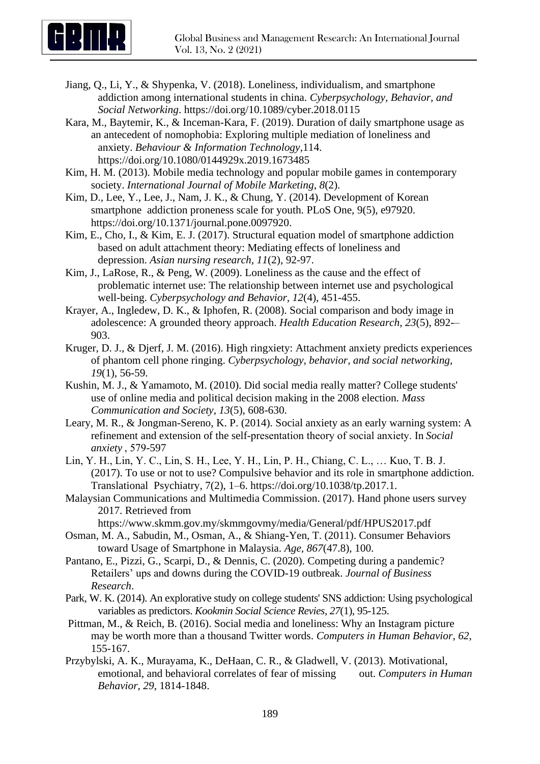

- Jiang, Q., Li, Y., & Shypenka, V. (2018). Loneliness, individualism, and smartphone addiction among international students in china. *Cyberpsychology, Behavior, and Social Networking*. https://doi.org/10.1089/cyber.2018.0115
- Kara, M., Baytemir, K., & Inceman-Kara, F. (2019). Duration of daily smartphone usage as an antecedent of nomophobia: Exploring multiple mediation of loneliness and anxiety. *Behaviour & Information Technology*,114. https://doi.org/10.1080/0144929x.2019.1673485
- Kim, H. M. (2013). Mobile media technology and popular mobile games in contemporary society. *International Journal of Mobile Marketing*, *8*(2).
- Kim, D., Lee, Y., Lee, J., Nam, J. K., & Chung, Y. (2014). Development of Korean smartphone addiction proneness scale for youth. PLoS One, 9(5), e97920. https://doi.org/10.1371/journal.pone.0097920.
- Kim, E., Cho, I., & Kim, E. J. (2017). Structural equation model of smartphone addiction based on adult attachment theory: Mediating effects of loneliness and depression. *Asian nursing research*, *11*(2), 92-97.
- Kim, J., LaRose, R., & Peng, W. (2009). Loneliness as the cause and the effect of problematic internet use: The relationship between internet use and psychological well-being. *Cyberpsychology and Behavior, 12*(4), 451-455.
- Krayer, A., Ingledew, D. K., & Iphofen, R. (2008). Social comparison and body image in adolescence: A grounded theory approach. *Health Education Research*, *23*(5), 892-– 903.
- Kruger, D. J., & Djerf, J. M. (2016). High ringxiety: Attachment anxiety predicts experiences of phantom cell phone ringing. *Cyberpsychology, behavior, and social networking, 19*(1), 56-59.
- Kushin, M. J., & Yamamoto, M. (2010). Did social media really matter? College students' use of online media and political decision making in the 2008 election. *Mass Communication and Society*, *13*(5), 608-630.
- Leary, M. R., & Jongman-Sereno, K. P. (2014). Social anxiety as an early warning system: A refinement and extension of the self-presentation theory of social anxiety. In *Social anxiety* , 579-597
- Lin, Y. H., Lin, Y. C., Lin, S. H., Lee, Y. H., Lin, P. H., Chiang, C. L., … Kuo, T. B. J. (2017). To use or not to use? Compulsive behavior and its role in smartphone addiction. Translational Psychiatry, 7(2), 1–6. https://doi.org/10.1038/tp.2017.1.
- Malaysian Communications and Multimedia Commission. (2017). Hand phone users survey 2017. Retrieved from
	- https://www.skmm.gov.my/skmmgovmy/media/General/pdf/HPUS2017.pdf
- Osman, M. A., Sabudin, M., Osman, A., & Shiang-Yen, T. (2011). Consumer Behaviors toward Usage of Smartphone in Malaysia. *Age, 867*(47.8), 100.
- Pantano, E., Pizzi, G., Scarpi, D., & Dennis, C. (2020). Competing during a pandemic? Retailers' ups and downs during the COVID-19 outbreak. *Journal of Business Research*.
- Park, W. K. (2014). An explorative study on college students' SNS addiction: Using psychological variables as predictors. *Kookmin Social Science Revies, 27*(1), 95-125.
- Pittman, M., & Reich, B. (2016). Social media and loneliness: Why an Instagram picture may be worth more than a thousand Twitter words. *Computers in Human Behavior*, *62*, 155-167.
- Przybylski, A. K., Murayama, K., DeHaan, C. R., & Gladwell, V. (2013). Motivational, emotional, and behavioral correlates of fear of missing out. *Computers in Human Behavior, 29*, 1814-1848.